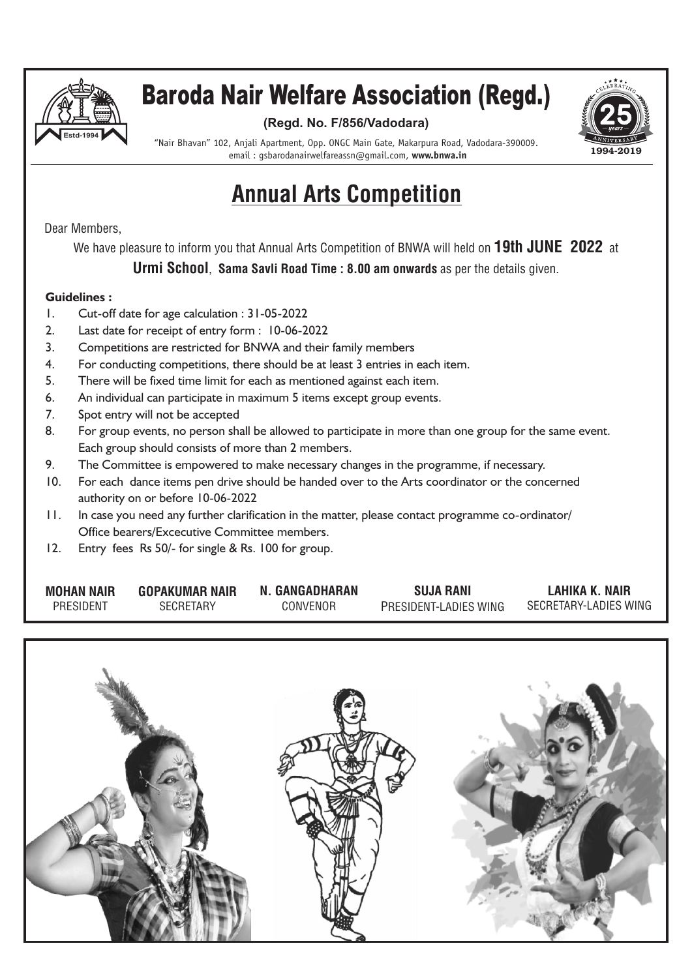

### Baroda Nair Welfare Association (Regd.)

#### **(Regd. No. F/856/Vadodara)**



"Nair Bhavan" 102, Anjali Apartment, Opp. ONGC Main Gate, Makarpura Road, Vadodara-390009. email : gsbarodanairwelfareassn@gmail.com, **www.bnwa.in**

### Annual Arts Competition

Dear Members,

We have pleasure to inform you that Annual Arts Competition of BNWA will held on 19th JUNE 2022 at

Urmi School, Sama Savli Road Time : 8.00 am onwards as per the details given.

#### **Guidelines :**

- 1. Cut-off date for age calculation : 31-05-2022
- 2. Last date for receipt of entry form : 10-06-2022
- 3. Competitions are restricted for BNWA and their family members
- 4. For conducting competitions, there should be at least 3 entries in each item.
- 5. There will be fixed time limit for each as mentioned against each item.
- 6. An individual can participate in maximum 5 items except group events.
- 7. Spot entry will not be accepted
- 8. For group events, no person shall be allowed to participate in more than one group for the same event. Each group should consists of more than 2 members.
- 9. The Committee is empowered to make necessary changes in the programme, if necessary.
- 10. For each dance items pen drive should be handed over to the Arts coordinator or the concerned authority on or before 10-06-2022
- 11. In case you need any further clarification in the matter, please contact programme co-ordinator/ Office bearers/Excecutive Committee members.
- 12. Entry fees Rs 50/- for single & Rs. 100 for group.

| <b>MOHAN NAIR</b> | <b>GOPAKUMAR NAIR</b> | N. GANGADHARAN | <b>SUJA RANI</b>      | LAHIKA K. NAIR        |
|-------------------|-----------------------|----------------|-----------------------|-----------------------|
| PRESIDENT         | <b>SECRETARY</b>      | CONVENOR       | PRESIDENT-LADIES WING | SECRETARY-LADIES WING |